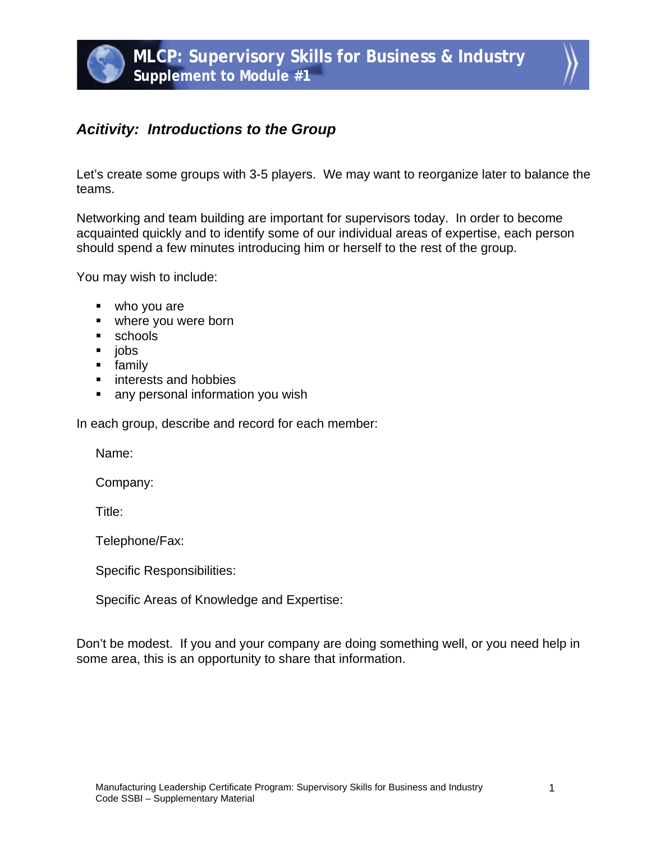## *Acitivity: Introductions to the Group*

Let's create some groups with 3-5 players. We may want to reorganize later to balance the teams.

Networking and team building are important for supervisors today. In order to become acquainted quickly and to identify some of our individual areas of expertise, each person should spend a few minutes introducing him or herself to the rest of the group.

You may wish to include:

- who you are
- where you were born
- **schools**
- jobs
- **family**
- **interests and hobbies**
- **any personal information you wish**

In each group, describe and record for each member:

Name:

Company:

Title:

Telephone/Fax:

Specific Responsibilities:

Specific Areas of Knowledge and Expertise:

Don't be modest. If you and your company are doing something well, or you need help in some area, this is an opportunity to share that information.